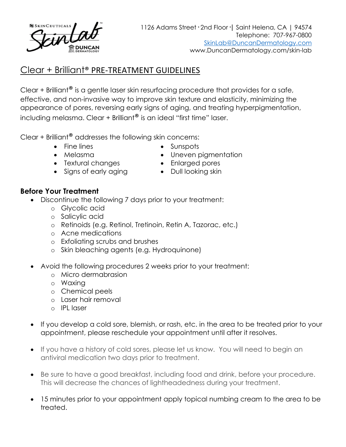

## Clear + Brilliant® PRE-TREATMENT GUIDELINES

Clear + Brilliant<sup>®</sup> is a gentle laser skin resurfacing procedure that provides for a safe, effective, and non-invasive way to improve skin texture and elasticity, minimizing the appearance of pores, reversing early signs of aging, and treating hyperpigmentation, including melasma. Clear + Brilliant® is an ideal "first time" laser.

Clear + Brilliant® addresses the following skin concerns:

- Fine lines Sunspots
- 
- 
- Textural changes Enlarged pores
- Melasma Uneven pigmentation
	-
- Signs of early aging Dull looking skin

#### **Before Your Treatment**

- Discontinue the following 7 days prior to your treatment:
	- o Glycolic acid
	- o Salicylic acid
	- o Retinoids (e.g. Retinol, Tretinoin, Retin A, Tazorac, etc.)
	- o Acne medications
	- o Exfoliating scrubs and brushes
	- o Skin bleaching agents (e.g. Hydroquinone)
- Avoid the following procedures 2 weeks prior to your treatment:
	- o Micro dermabrasion
	- o Waxing
	- o Chemical peels
	- o Laser hair removal
	- o IPL laser
- If you develop a cold sore, blemish, or rash, etc. in the area to be treated prior to your appointment, please reschedule your appointment until after it resolves.
- If you have a history of cold sores, please let us know. You will need to begin an antiviral medication two days prior to treatment.
- Be sure to have a good breakfast, including food and drink, before your procedure. This will decrease the chances of lightheadedness during your treatment.
- 15 minutes prior to your appointment apply topical numbing cream to the area to be treated.